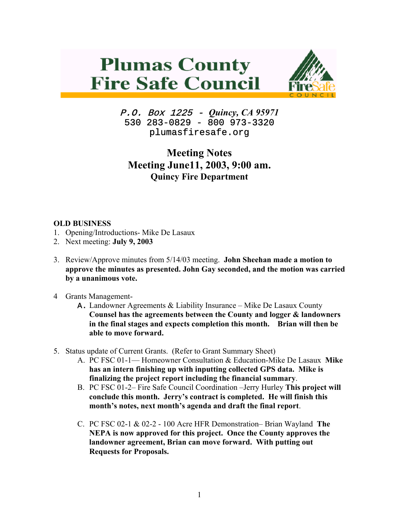## **Plumas County Fire Safe Council**



P.O. Box 1225 - *Quincy, CA 95971*  530 283-0829 - 800 973-3320 plumasfiresafe.org

## **Meeting Notes Meeting June11, 2003, 9:00 am. Quincy Fire Department**

## **OLD BUSINESS**

- 1. Opening/Introductions- Mike De Lasaux
- 2. Next meeting: **July 9, 2003**
- 3. Review/Approve minutes from 5/14/03 meeting. **John Sheehan made a motion to approve the minutes as presented. John Gay seconded, and the motion was carried by a unanimous vote.**
- 4 Grants Management-
	- **A.** Landowner Agreements & Liability Insurance Mike De Lasaux County **Counsel has the agreements between the County and logger & landowners in the final stages and expects completion this month. Brian will then be able to move forward.**
- 5. Status update of Current Grants. (Refer to Grant Summary Sheet)
	- A. PC FSC 01-1— Homeowner Consultation & Education-Mike De Lasaux **Mike has an intern finishing up with inputting collected GPS data. Mike is finalizing the project report including the financial summary**.
	- B. PC FSC 01-2– Fire Safe Council Coordination –Jerry Hurley **This project will conclude this month. Jerry's contract is completed. He will finish this month's notes, next month's agenda and draft the final report**.
	- C. PC FSC 02-1 & 02-2 100 Acre HFR Demonstration– Brian Wayland **The NEPA is now approved for this project. Once the County approves the landowner agreement, Brian can move forward. With putting out Requests for Proposals.**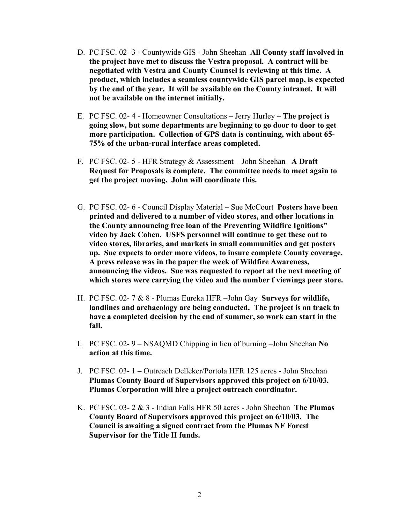- D. PC FSC. 02- 3 Countywide GIS John Sheehan **All County staff involved in the project have met to discuss the Vestra proposal. A contract will be negotiated with Vestra and County Counsel is reviewing at this time. A product, which includes a seamless countywide GIS parcel map, is expected by the end of the year. It will be available on the County intranet. It will not be available on the internet initially.**
- E. PC FSC. 02- 4 Homeowner Consultations Jerry Hurley – **The project is going slow, but some departments are beginning to go door to door to get more participation. Collection of GPS data is continuing, with about 65- 75% of the urban-rural interface areas completed.**
- F. PC FSC. 02- 5 HFR Strategy & Assessment John Sheehan **A Draft Request for Proposals is complete. The committee needs to meet again to get the project moving. John will coordinate this.**
- G. PC FSC. 02- 6 Council Display Material Sue McCourt **Posters have been printed and delivered to a number of video stores, and other locations in the County announcing free loan of the Preventing Wildfire Ignitions" video by Jack Cohen. USFS personnel will continue to get these out to video stores, libraries, and markets in small communities and get posters up. Sue expects to order more videos, to insure complete County coverage. A press release was in the paper the week of Wildfire Awareness, announcing the videos. Sue was requested to report at the next meeting of which stores were carrying the video and the number f viewings peer store.**
- H. PC FSC. 02- 7 & 8 Plumas Eureka HFR –John Gay **Surveys for wildlife, landlines and archaeology are being conducted. The project is on track to have a completed decision by the end of summer, so work can start in the fall.**
- I. PC FSC. 02- 9 NSAQMD Chipping in lieu of burning –John Sheehan **No action at this time.**
- J. PC FSC. 03- 1 Outreach Delleker/Portola HFR 125 acres John Sheehan **Plumas County Board of Supervisors approved this project on 6/10/03. Plumas Corporation will hire a project outreach coordinator.**
- K. PC FSC. 03- 2 & 3 Indian Falls HFR 50 acres John Sheehan **The Plumas County Board of Supervisors approved this project on 6/10/03. The Council is awaiting a signed contract from the Plumas NF Forest Supervisor for the Title II funds.**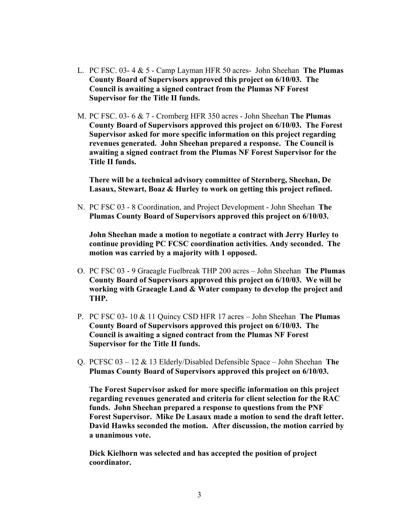- L. PC FSC. 03- 4 & 5 Camp Layman HFR 50 acres- John Sheehan **The Plumas County Board of Supervisors approved this project on 6/10/03. The Council is awaiting a signed contract from the Plumas NF Forest Supervisor for the Title II funds.**
- M. PC FSC. 03- 6 & 7 Cromberg HFR 350 acres John Sheehan **The Plumas County Board of Supervisors approved this project on 6/10/03. The Forest Supervisor asked for more specific information on this project regarding revenues generated. John Sheehan prepared a response. The Council is awaiting a signed contract from the Plumas NF Forest Supervisor for the Title II funds.**

**There will be a technical advisory committee of Sternberg, Sheehan, De Lasaux, Stewart, Boaz & Hurley to work on getting this project refined.**

N. PC FSC 03 - 8 Coordination, and Project Development - John Sheehan **The Plumas County Board of Supervisors approved this project on 6/10/03.** 

**John Sheehan made a motion to negotiate a contract with Jerry Hurley to continue providing PC FCSC coordination activities. Andy seconded. The motion was carried by a majority with 1 opposed.** 

- O. PC FSC 03 9 Graeagle Fuelbreak THP 200 acres John Sheehan **The Plumas County Board of Supervisors approved this project on 6/10/03. We will be working with Graeagle Land & Water company to develop the project and THP.**
- P. PC FSC 03- 10 & 11 Quincy CSD HFR 17 acres John Sheehan **The Plumas County Board of Supervisors approved this project on 6/10/03. The Council is awaiting a signed contract from the Plumas NF Forest Supervisor for the Title II funds.**
- Q. PCFSC 03 12 & 13 Elderly/Disabled Defensible Space John Sheehan **The Plumas County Board of Supervisors approved this project on 6/10/03.**

**The Forest Supervisor asked for more specific information on this project regarding revenues generated and criteria for client selection for the RAC funds. John Sheehan prepared a response to questions from the PNF Forest Supervisor. Mike De Lasaux made a motion to send the draft letter. David Hawks seconded the motion. After discussion, the motion carried by a unanimous vote.**

**Dick Kielhorn was selected and has accepted the position of project coordinator.**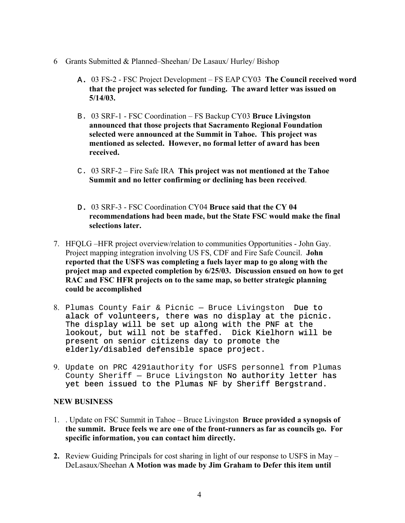- 6 Grants Submitted & Planned–Sheehan/ De Lasaux/ Hurley/ Bishop
	- A. 03 FS-2 FSC Project Development FS EAP CY03 **The Council received word that the project was selected for funding. The award letter was issued on 5/14/03.**
	- B. 03 SRF-1 FSC Coordination FS Backup CY03 **Bruce Livingston announced that those projects that Sacramento Regional Foundation selected were announced at the Summit in Tahoe. This project was mentioned as selected. However, no formal letter of award has been received.**
	- C. 03 SRF-2 Fire Safe IRA **This project was not mentioned at the Tahoe Summit and no letter confirming or declining has been received**.
	- D. 03 SRF-3 FSC Coordination CY04 **Bruce said that the CY 04 recommendations had been made, but the State FSC would make the final selections later.**
- 7. HFQLG –HFR project overview/relation to communities Opportunities John Gay. Project mapping integration involving US FS, CDF and Fire Safe Council. **John reported that the USFS was completing a fuels layer map to go along with the project map and expected completion by 6/25/03. Discussion ensued on how to get RAC and FSC HFR projects on to the same map, so better strategic planning could be accomplished**
- 8. Plumas County Fair & Picnic Bruce Livingston Due to alack of volunteers, there was no display at the picnic. The display will be set up along with the PNF at the lookout, but will not be staffed. Dick Kielhorn will be present on senior citizens day to promote the elderly/disabled defensible space project.
- 9. Update on PRC 4291authority for USFS personnel from Plumas County Sheriff — Bruce Livingston No authority letter has yet been issued to the Plumas NF by Sheriff Bergstrand.

## **NEW BUSINESS**

- 1. . Update on FSC Summit in Tahoe Bruce Livingston **Bruce provided a synopsis of the summit. Bruce feels we are one of the front-runners as far as councils go. For specific information, you can contact him directly.**
- **2.** Review Guiding Principals for cost sharing in light of our response to USFS in May DeLasaux/Sheehan **A Motion was made by Jim Graham to Defer this item until**